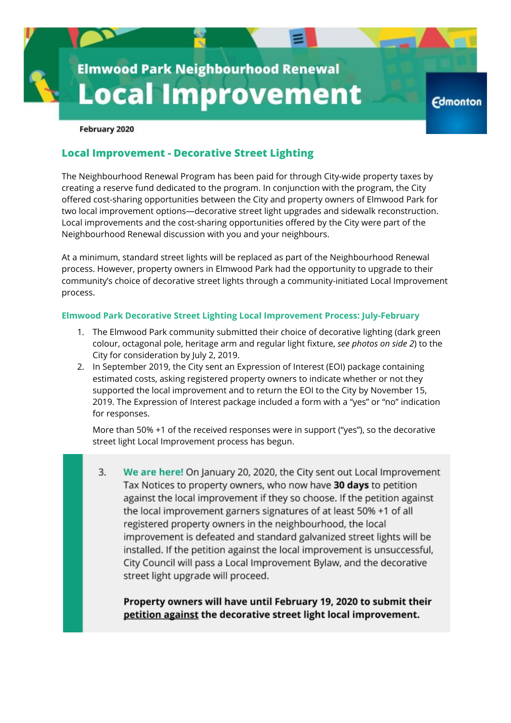# **Elmwood Park Neighbourhood Renewal Local Improvement**

**Edmonton** 

#### February 2020

## **Local Improvement - Decorative Street Lighting**

The Neighbourhood Renewal Program has been paid for through City-wide property taxes by creating a reserve fund dedicated to the program. In conjunction with the program, the City offered cost-sharing opportunities between the City and property owners of Elmwood Park for two local improvement options—decorative street light upgrades and sidewalk reconstruction. Local improvements and the cost-sharing opportunities offered by the City were part of the Neighbourhood Renewal discussion with you and your neighbours.

At a minimum, standard street lights will be replaced as part of the Neighbourhood Renewal process. However, property owners in Elmwood Park had the opportunity to upgrade to their community's choice of decorative street lights through a community-initiated Local Improvement process.

#### **Elmwood Park Decorative Street Lighting Local Improvement Process: July-February**

- 1. The Elmwood Park community submitted their choice of decorative lighting (dark green colour, octagonal pole, heritage arm and regular light fixture, *see photos on side 2*) to the City for consideration by July 2, 2019.
- 2. In September 2019, the City sent an Expression of Interest (EOI) package containing estimated costs, asking registered property owners to indicate whether or not they supported the local improvement and to return the EOI to the City by November 15, 2019. The Expression of Interest package included a form with a "yes" or "no" indication for responses.

More than 50% +1 of the received responses were in support ("yes"), so the decorative street light Local Improvement process has begun.

3. We are here! On January 20, 2020, the City sent out Local Improvement Tax Notices to property owners, who now have 30 days to petition against the local improvement if they so choose. If the petition against the local improvement garners signatures of at least 50% +1 of all registered property owners in the neighbourhood, the local improvement is defeated and standard galvanized street lights will be installed. If the petition against the local improvement is unsuccessful, City Council will pass a Local Improvement Bylaw, and the decorative street light upgrade will proceed.

Property owners will have until February 19, 2020 to submit their petition against the decorative street light local improvement.